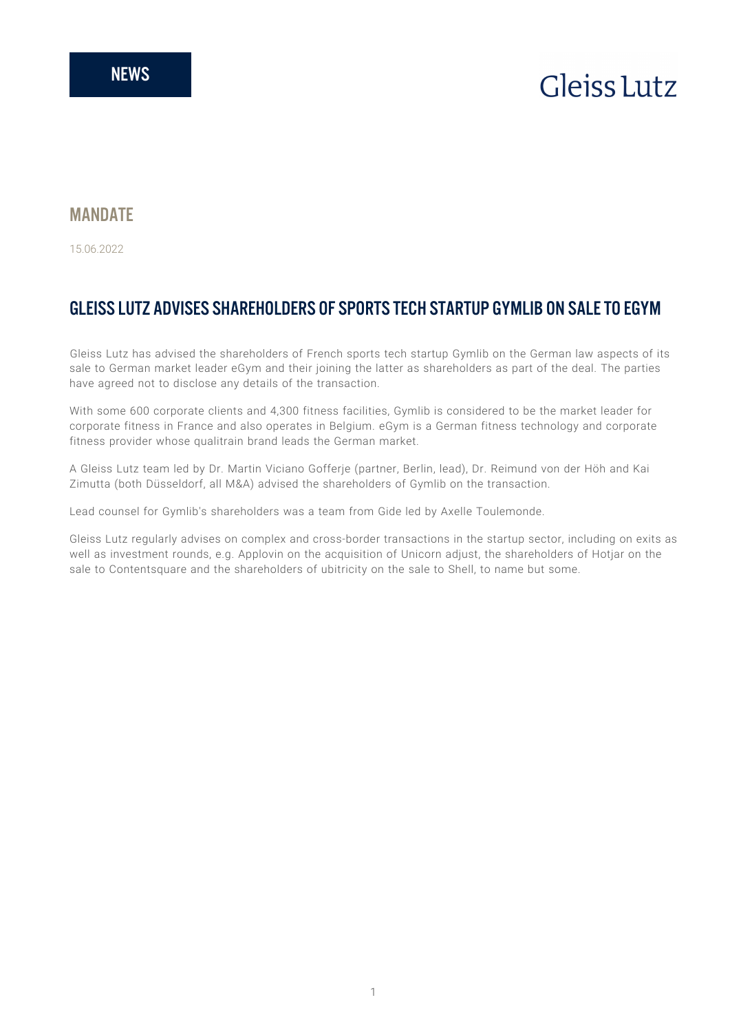# **Gleiss Lutz**

### **MANDATF**

15.06.2022

## GLEISS LUTZ ADVISES SHAREHOLDERS OF SPORTS TECH STARTUP GYMLIB ON SALE TO EGYM

Gleiss Lutz has advised the shareholders of French sports tech startup Gymlib on the German law aspects of its sale to German market leader eGym and their joining the latter as shareholders as part of the deal. The parties have agreed not to disclose any details of the transaction.

With some 600 corporate clients and 4,300 fitness facilities, Gymlib is considered to be the market leader for corporate fitness in France and also operates in Belgium. eGym is a German fitness technology and corporate fitness provider whose qualitrain brand leads the German market.

A Gleiss Lutz team led by Dr. Martin Viciano Gofferje (partner, Berlin, lead), Dr. Reimund von der Höh and Kai Zimutta (both Düsseldorf, all M&A) advised the shareholders of Gymlib on the transaction.

Lead counsel for Gymlib's shareholders was a team from Gide led by Axelle Toulemonde.

Gleiss Lutz regularly advises on complex and cross-border transactions in the startup sector, including on exits as well as investment rounds, e.g. Applovin on the acquisition of Unicorn adjust, the shareholders of Hotjar on the sale to Contentsquare and the shareholders of ubitricity on the sale to Shell, to name but some.